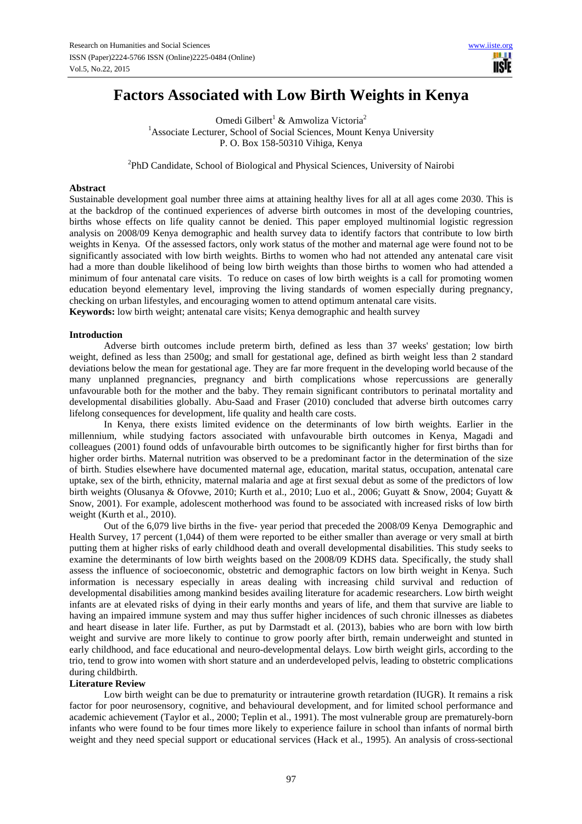# **Factors Associated with Low Birth Weights in Kenya**

Omedi Gilbert<sup>1</sup> & Amwoliza Victoria<sup>2</sup> <sup>1</sup>Associate Lecturer, School of Social Sciences, Mount Kenya University P. O. Box 158-50310 Vihiga, Kenya

<sup>2</sup>PhD Candidate, School of Biological and Physical Sciences, University of Nairobi

### **Abstract**

Sustainable development goal number three aims at attaining healthy lives for all at all ages come 2030. This is at the backdrop of the continued experiences of adverse birth outcomes in most of the developing countries, births whose effects on life quality cannot be denied. This paper employed multinomial logistic regression analysis on 2008/09 Kenya demographic and health survey data to identify factors that contribute to low birth weights in Kenya. Of the assessed factors, only work status of the mother and maternal age were found not to be significantly associated with low birth weights. Births to women who had not attended any antenatal care visit had a more than double likelihood of being low birth weights than those births to women who had attended a minimum of four antenatal care visits. To reduce on cases of low birth weights is a call for promoting women education beyond elementary level, improving the living standards of women especially during pregnancy, checking on urban lifestyles, and encouraging women to attend optimum antenatal care visits.

**Keywords:** low birth weight; antenatal care visits; Kenya demographic and health survey

#### **Introduction**

Adverse birth outcomes include preterm birth, defined as less than 37 weeks' gestation; low birth weight, defined as less than 2500g; and small for gestational age, defined as birth weight less than 2 standard deviations below the mean for gestational age. They are far more frequent in the developing world because of the many unplanned pregnancies, pregnancy and birth complications whose repercussions are generally unfavourable both for the mother and the baby. They remain significant contributors to perinatal mortality and developmental disabilities globally. Abu-Saad and Fraser (2010) concluded that adverse birth outcomes carry lifelong consequences for development, life quality and health care costs.

In Kenya, there exists limited evidence on the determinants of low birth weights. Earlier in the millennium, while studying factors associated with unfavourable birth outcomes in Kenya, Magadi and colleagues (2001) found odds of unfavourable birth outcomes to be significantly higher for first births than for higher order births. Maternal nutrition was observed to be a predominant factor in the determination of the size of birth. Studies elsewhere have documented maternal age, education, marital status, occupation, antenatal care uptake, sex of the birth, ethnicity, maternal malaria and age at first sexual debut as some of the predictors of low birth weights (Olusanya & Ofovwe, 2010; Kurth et al., 2010; Luo et al., 2006; Guyatt & Snow, 2004; Guyatt & Snow, 2001). For example, adolescent motherhood was found to be associated with increased risks of low birth weight (Kurth et al., 2010).

Out of the 6,079 live births in the five- year period that preceded the 2008/09 Kenya Demographic and Health Survey, 17 percent (1,044) of them were reported to be either smaller than average or very small at birth putting them at higher risks of early childhood death and overall developmental disabilities. This study seeks to examine the determinants of low birth weights based on the 2008/09 KDHS data. Specifically, the study shall assess the influence of socioeconomic, obstetric and demographic factors on low birth weight in Kenya. Such information is necessary especially in areas dealing with increasing child survival and reduction of developmental disabilities among mankind besides availing literature for academic researchers. Low birth weight infants are at elevated risks of dying in their early months and years of life, and them that survive are liable to having an impaired immune system and may thus suffer higher incidences of such chronic illnesses as diabetes and heart disease in later life. Further, as put by Darmstadt et al. (2013), babies who are born with low birth weight and survive are more likely to continue to grow poorly after birth, remain underweight and stunted in early childhood, and face educational and neuro-developmental delays. Low birth weight girls, according to the trio, tend to grow into women with short stature and an underdeveloped pelvis, leading to obstetric complications during childbirth.

#### **Literature Review**

Low birth weight can be due to prematurity or intrauterine growth retardation (IUGR). It remains a risk factor for poor neurosensory, cognitive, and behavioural development, and for limited school performance and academic achievement (Taylor et al., 2000; Teplin et al., 1991). The most vulnerable group are prematurely-born infants who were found to be four times more likely to experience failure in school than infants of normal birth weight and they need special support or educational services (Hack et al., 1995). An analysis of cross-sectional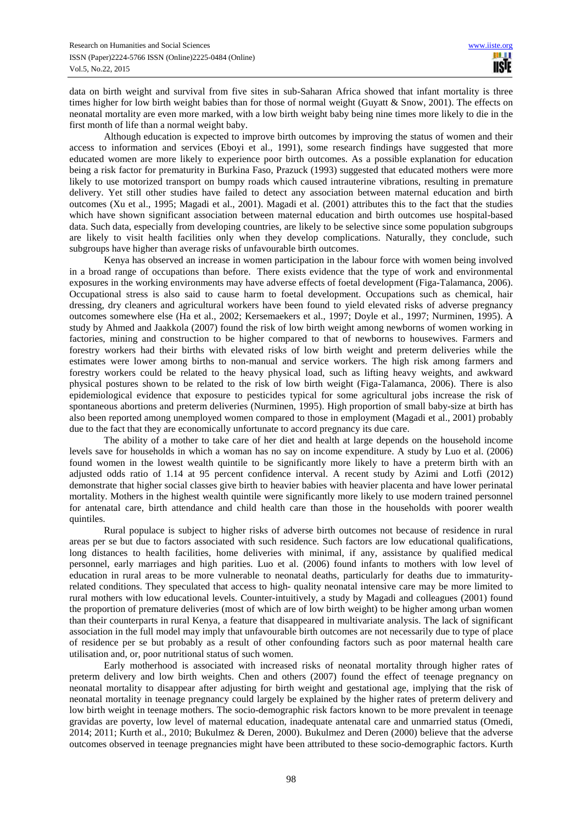data on birth weight and survival from five sites in sub-Saharan Africa showed that infant mortality is three times higher for low birth weight babies than for those of normal weight (Guyatt & Snow, 2001). The effects on neonatal mortality are even more marked, with a low birth weight baby being nine times more likely to die in the first month of life than a normal weight baby.

Although education is expected to improve birth outcomes by improving the status of women and their access to information and services (Eboyi et al., 1991), some research findings have suggested that more educated women are more likely to experience poor birth outcomes. As a possible explanation for education being a risk factor for prematurity in Burkina Faso, Prazuck (1993) suggested that educated mothers were more likely to use motorized transport on bumpy roads which caused intrauterine vibrations, resulting in premature delivery. Yet still other studies have failed to detect any association between maternal education and birth outcomes (Xu et al., 1995; Magadi et al., 2001). Magadi et al. (2001) attributes this to the fact that the studies which have shown significant association between maternal education and birth outcomes use hospital-based data. Such data, especially from developing countries, are likely to be selective since some population subgroups are likely to visit health facilities only when they develop complications. Naturally, they conclude, such subgroups have higher than average risks of unfavourable birth outcomes.

Kenya has observed an increase in women participation in the labour force with women being involved in a broad range of occupations than before. There exists evidence that the type of work and environmental exposures in the working environments may have adverse effects of foetal development (Figa-Talamanca, 2006). Occupational stress is also said to cause harm to foetal development. Occupations such as chemical, hair dressing, dry cleaners and agricultural workers have been found to yield elevated risks of adverse pregnancy outcomes somewhere else (Ha et al., 2002; Kersemaekers et al., 1997; Doyle et al., 1997; Nurminen, 1995). A study by Ahmed and Jaakkola (2007) found the risk of low birth weight among newborns of women working in factories, mining and construction to be higher compared to that of newborns to housewives. Farmers and forestry workers had their births with elevated risks of low birth weight and preterm deliveries while the estimates were lower among births to non-manual and service workers. The high risk among farmers and forestry workers could be related to the heavy physical load, such as lifting heavy weights, and awkward physical postures shown to be related to the risk of low birth weight (Figa-Talamanca, 2006). There is also epidemiological evidence that exposure to pesticides typical for some agricultural jobs increase the risk of spontaneous abortions and preterm deliveries (Nurminen, 1995). High proportion of small baby-size at birth has also been reported among unemployed women compared to those in employment (Magadi et al., 2001) probably due to the fact that they are economically unfortunate to accord pregnancy its due care.

The ability of a mother to take care of her diet and health at large depends on the household income levels save for households in which a woman has no say on income expenditure. A study by Luo et al. (2006) found women in the lowest wealth quintile to be significantly more likely to have a preterm birth with an adjusted odds ratio of 1.14 at 95 percent confidence interval. A recent study by Azimi and Lotfi (2012) demonstrate that higher social classes give birth to heavier babies with heavier placenta and have lower perinatal mortality. Mothers in the highest wealth quintile were significantly more likely to use modern trained personnel for antenatal care, birth attendance and child health care than those in the households with poorer wealth quintiles.

Rural populace is subject to higher risks of adverse birth outcomes not because of residence in rural areas per se but due to factors associated with such residence. Such factors are low educational qualifications, long distances to health facilities, home deliveries with minimal, if any, assistance by qualified medical personnel, early marriages and high parities. Luo et al. (2006) found infants to mothers with low level of education in rural areas to be more vulnerable to neonatal deaths, particularly for deaths due to immaturityrelated conditions. They speculated that access to high- quality neonatal intensive care may be more limited to rural mothers with low educational levels. Counter-intuitively, a study by Magadi and colleagues (2001) found the proportion of premature deliveries (most of which are of low birth weight) to be higher among urban women than their counterparts in rural Kenya, a feature that disappeared in multivariate analysis. The lack of significant association in the full model may imply that unfavourable birth outcomes are not necessarily due to type of place of residence per se but probably as a result of other confounding factors such as poor maternal health care utilisation and, or, poor nutritional status of such women.

Early motherhood is associated with increased risks of neonatal mortality through higher rates of preterm delivery and low birth weights. Chen and others (2007) found the effect of teenage pregnancy on neonatal mortality to disappear after adjusting for birth weight and gestational age, implying that the risk of neonatal mortality in teenage pregnancy could largely be explained by the higher rates of preterm delivery and low birth weight in teenage mothers. The socio-demographic risk factors known to be more prevalent in teenage gravidas are poverty, low level of maternal education, inadequate antenatal care and unmarried status (Omedi, 2014; 2011; Kurth et al., 2010; Bukulmez & Deren, 2000). Bukulmez and Deren (2000) believe that the adverse outcomes observed in teenage pregnancies might have been attributed to these socio-demographic factors. Kurth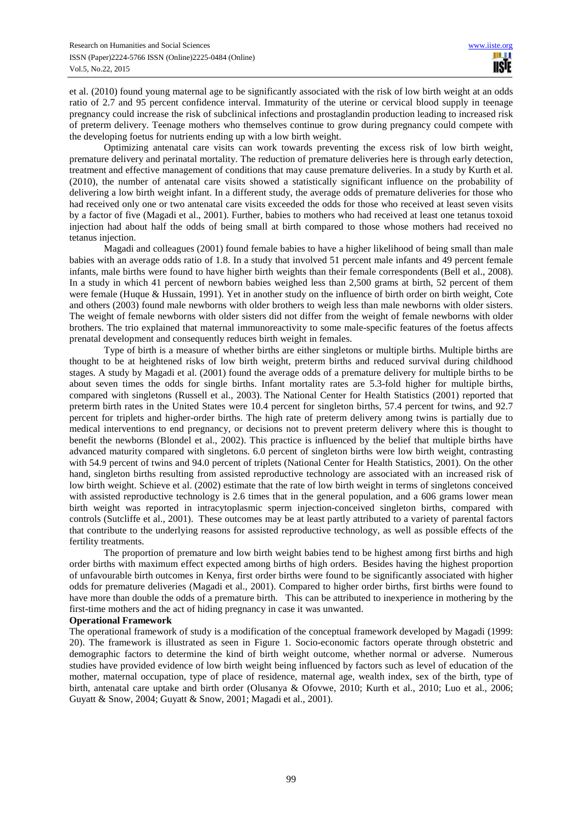et al. (2010) found young maternal age to be significantly associated with the risk of low birth weight at an odds ratio of 2.7 and 95 percent confidence interval. Immaturity of the uterine or cervical blood supply in teenage pregnancy could increase the risk of subclinical infections and prostaglandin production leading to increased risk of preterm delivery. Teenage mothers who themselves continue to grow during pregnancy could compete with the developing foetus for nutrients ending up with a low birth weight.

Optimizing antenatal care visits can work towards preventing the excess risk of low birth weight, premature delivery and perinatal mortality. The reduction of premature deliveries here is through early detection, treatment and effective management of conditions that may cause premature deliveries. In a study by Kurth et al. (2010), the number of antenatal care visits showed a statistically significant influence on the probability of delivering a low birth weight infant. In a different study, the average odds of premature deliveries for those who had received only one or two antenatal care visits exceeded the odds for those who received at least seven visits by a factor of five (Magadi et al., 2001). Further, babies to mothers who had received at least one tetanus toxoid injection had about half the odds of being small at birth compared to those whose mothers had received no tetanus injection.

Magadi and colleagues (2001) found female babies to have a higher likelihood of being small than male babies with an average odds ratio of 1.8. In a study that involved 51 percent male infants and 49 percent female infants, male births were found to have higher birth weights than their female correspondents (Bell et al., 2008). In a study in which 41 percent of newborn babies weighed less than 2,500 grams at birth, 52 percent of them were female (Huque & Hussain, 1991). Yet in another study on the influence of birth order on birth weight, Cote and others (2003) found male newborns with older brothers to weigh less than male newborns with older sisters. The weight of female newborns with older sisters did not differ from the weight of female newborns with older brothers. The trio explained that maternal immunoreactivity to some male-specific features of the foetus affects prenatal development and consequently reduces birth weight in females.

Type of birth is a measure of whether births are either singletons or multiple births. Multiple births are thought to be at heightened risks of low birth weight, preterm births and reduced survival during childhood stages. A study by Magadi et al. (2001) found the average odds of a premature delivery for multiple births to be about seven times the odds for single births. Infant mortality rates are 5.3-fold higher for multiple births, compared with singletons (Russell et al., 2003). The National Center for Health Statistics (2001) reported that preterm birth rates in the United States were 10.4 percent for singleton births, 57.4 percent for twins, and 92.7 percent for triplets and higher-order births. The high rate of preterm delivery among twins is partially due to medical interventions to end pregnancy, or decisions not to prevent preterm delivery where this is thought to benefit the newborns (Blondel et al., 2002). This practice is influenced by the belief that multiple births have advanced maturity compared with singletons. 6.0 percent of singleton births were low birth weight, contrasting with 54.9 percent of twins and 94.0 percent of triplets (National Center for Health Statistics, 2001). On the other hand, singleton births resulting from assisted reproductive technology are associated with an increased risk of low birth weight. Schieve et al. (2002) estimate that the rate of low birth weight in terms of singletons conceived with assisted reproductive technology is 2.6 times that in the general population, and a 606 grams lower mean birth weight was reported in intracytoplasmic sperm injection-conceived singleton births, compared with controls (Sutcliffe et al., 2001). These outcomes may be at least partly attributed to a variety of parental factors that contribute to the underlying reasons for assisted reproductive technology, as well as possible effects of the fertility treatments.

The proportion of premature and low birth weight babies tend to be highest among first births and high order births with maximum effect expected among births of high orders. Besides having the highest proportion of unfavourable birth outcomes in Kenya, first order births were found to be significantly associated with higher odds for premature deliveries (Magadi et al., 2001). Compared to higher order births, first births were found to have more than double the odds of a premature birth. This can be attributed to inexperience in mothering by the first-time mothers and the act of hiding pregnancy in case it was unwanted.

#### **Operational Framework**

The operational framework of study is a modification of the conceptual framework developed by Magadi (1999: 20). The framework is illustrated as seen in Figure 1. Socio-economic factors operate through obstetric and demographic factors to determine the kind of birth weight outcome, whether normal or adverse. Numerous studies have provided evidence of low birth weight being influenced by factors such as level of education of the mother, maternal occupation, type of place of residence, maternal age, wealth index, sex of the birth, type of birth, antenatal care uptake and birth order (Olusanya & Ofovwe, 2010; Kurth et al., 2010; Luo et al., 2006; Guyatt & Snow, 2004; Guyatt & Snow, 2001; Magadi et al., 2001).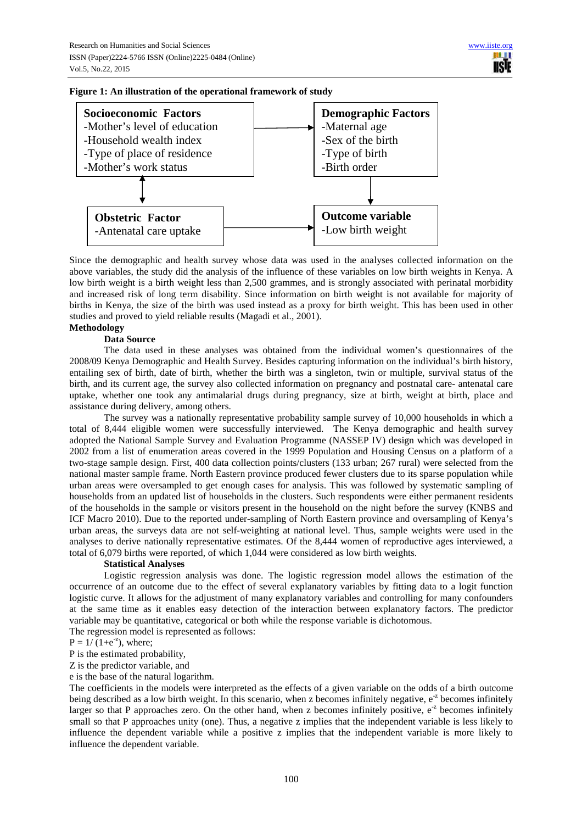



Since the demographic and health survey whose data was used in the analyses collected information on the above variables, the study did the analysis of the influence of these variables on low birth weights in Kenya. A low birth weight is a birth weight less than 2,500 grammes, and is strongly associated with perinatal morbidity and increased risk of long term disability. Since information on birth weight is not available for majority of births in Kenya, the size of the birth was used instead as a proxy for birth weight. This has been used in other studies and proved to yield reliable results (Magadi et al., 2001).

## **Methodology**

## **Data Source**

The data used in these analyses was obtained from the individual women's questionnaires of the 2008/09 Kenya Demographic and Health Survey. Besides capturing information on the individual's birth history, entailing sex of birth, date of birth, whether the birth was a singleton, twin or multiple, survival status of the birth, and its current age, the survey also collected information on pregnancy and postnatal care- antenatal care uptake, whether one took any antimalarial drugs during pregnancy, size at birth, weight at birth, place and assistance during delivery, among others.

The survey was a nationally representative probability sample survey of 10,000 households in which a total of 8,444 eligible women were successfully interviewed. The Kenya demographic and health survey adopted the National Sample Survey and Evaluation Programme (NASSEP IV) design which was developed in 2002 from a list of enumeration areas covered in the 1999 Population and Housing Census on a platform of a two-stage sample design. First, 400 data collection points/clusters (133 urban; 267 rural) were selected from the national master sample frame. North Eastern province produced fewer clusters due to its sparse population while urban areas were oversampled to get enough cases for analysis. This was followed by systematic sampling of households from an updated list of households in the clusters. Such respondents were either permanent residents of the households in the sample or visitors present in the household on the night before the survey (KNBS and ICF Macro 2010). Due to the reported under-sampling of North Eastern province and oversampling of Kenya's urban areas, the surveys data are not self-weighting at national level. Thus, sample weights were used in the analyses to derive nationally representative estimates. Of the 8,444 women of reproductive ages interviewed, a total of 6,079 births were reported, of which 1,044 were considered as low birth weights.

## **Statistical Analyses**

Logistic regression analysis was done. The logistic regression model allows the estimation of the occurrence of an outcome due to the effect of several explanatory variables by fitting data to a logit function logistic curve. It allows for the adjustment of many explanatory variables and controlling for many confounders at the same time as it enables easy detection of the interaction between explanatory factors. The predictor variable may be quantitative, categorical or both while the response variable is dichotomous. The regression model is represented as follows:

 $P = 1/(1+e^{-z})$ , where;

P is the estimated probability,

Z is the predictor variable, and

e is the base of the natural logarithm.

The coefficients in the models were interpreted as the effects of a given variable on the odds of a birth outcome being described as a low birth weight. In this scenario, when z becomes infinitely negative, e<sup>-z</sup> becomes infinitely larger so that P approaches zero. On the other hand, when z becomes infinitely positive,  $e^{-z}$  becomes infinitely small so that P approaches unity (one). Thus, a negative z implies that the independent variable is less likely to influence the dependent variable while a positive z implies that the independent variable is more likely to influence the dependent variable.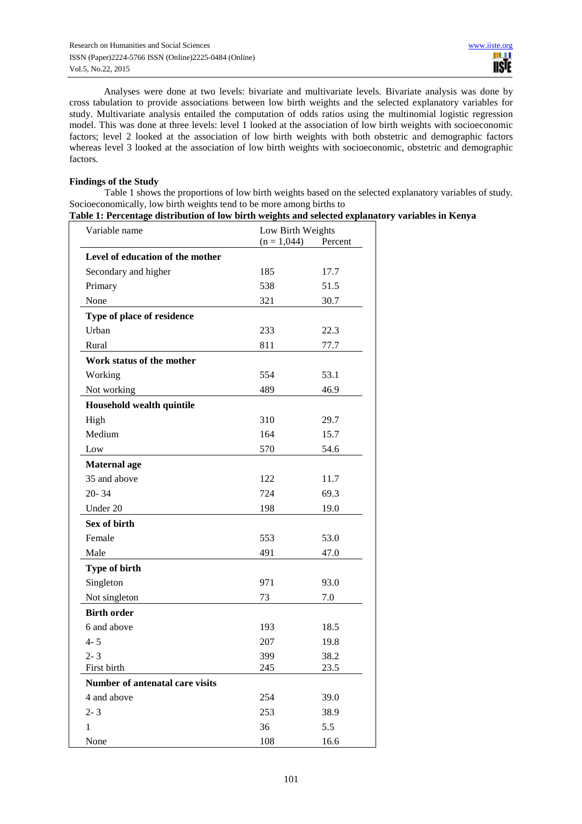Analyses were done at two levels: bivariate and multivariate levels. Bivariate analysis was done by cross tabulation to provide associations between low birth weights and the selected explanatory variables for study. Multivariate analysis entailed the computation of odds ratios using the multinomial logistic regression model. This was done at three levels: level 1 looked at the association of low birth weights with socioeconomic factors; level 2 looked at the association of low birth weights with both obstetric and demographic factors whereas level 3 looked at the association of low birth weights with socioeconomic, obstetric and demographic factors.

### **Findings of the Study**

 Table 1 shows the proportions of low birth weights based on the selected explanatory variables of study. Socioeconomically, low birth weights tend to be more among births to

| Table 1: Percentage distribution of low birth weights and selected explanatory variables in Kenya |  |  |  |  |
|---------------------------------------------------------------------------------------------------|--|--|--|--|
|---------------------------------------------------------------------------------------------------|--|--|--|--|

| Variable name                    | Low Birth Weights |         |  |
|----------------------------------|-------------------|---------|--|
|                                  | $(n = 1,044)$     | Percent |  |
| Level of education of the mother |                   |         |  |
| Secondary and higher             | 185               | 17.7    |  |
| Primary                          | 538               | 51.5    |  |
| None                             | 321               | 30.7    |  |
| Type of place of residence       |                   |         |  |
| Urban                            | 233               | 22.3    |  |
| Rural                            | 811               | 77.7    |  |
| Work status of the mother        |                   |         |  |
| Working                          | 554               | 53.1    |  |
| Not working                      | 489               | 46.9    |  |
| Household wealth quintile        |                   |         |  |
| High                             | 310               | 29.7    |  |
| Medium                           | 164               | 15.7    |  |
| Low                              | 570               | 54.6    |  |
| <b>Maternal</b> age              |                   |         |  |
| 35 and above                     | 122               | 11.7    |  |
| $20 - 34$                        | 724               | 69.3    |  |
| Under 20                         | 198               | 19.0    |  |
| Sex of birth                     |                   |         |  |
| Female                           | 553               | 53.0    |  |
| Male                             | 491               | 47.0    |  |
| Type of birth                    |                   |         |  |
| Singleton                        | 971               | 93.0    |  |
| Not singleton                    | 73                | 7.0     |  |
| <b>Birth order</b>               |                   |         |  |
| 6 and above                      | 193               | 18.5    |  |
| $4 - 5$                          | 207               | 19.8    |  |
| $2 - 3$                          | 399               | 38.2    |  |
| First birth                      | 245               | 23.5    |  |
| Number of antenatal care visits  |                   |         |  |
| 4 and above                      | 254               | 39.0    |  |
| $2 - 3$                          | 253               | 38.9    |  |
| $\mathbf{1}$                     | 36                | 5.5     |  |
| None                             | 108               | 16.6    |  |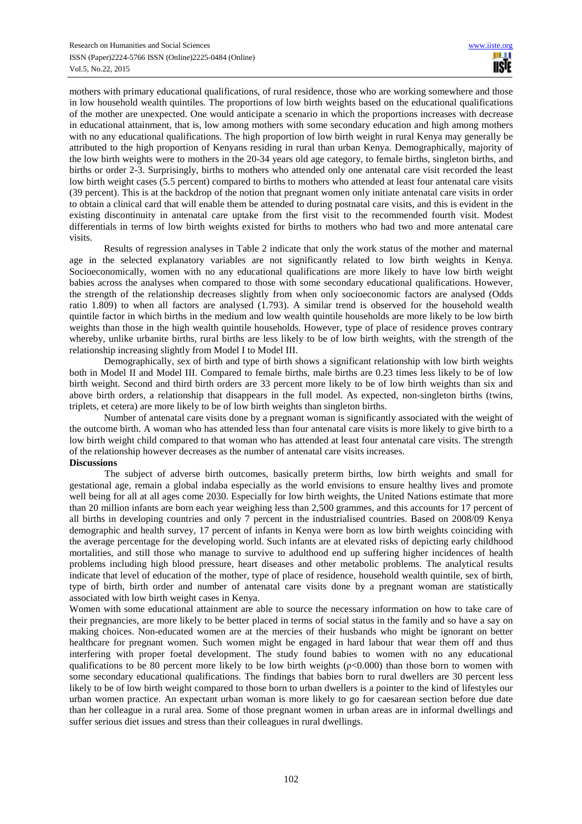mothers with primary educational qualifications, of rural residence, those who are working somewhere and those in low household wealth quintiles. The proportions of low birth weights based on the educational qualifications of the mother are unexpected. One would anticipate a scenario in which the proportions increases with decrease in educational attainment, that is, low among mothers with some secondary education and high among mothers with no any educational qualifications. The high proportion of low birth weight in rural Kenya may generally be attributed to the high proportion of Kenyans residing in rural than urban Kenya. Demographically, majority of the low birth weights were to mothers in the 20-34 years old age category, to female births, singleton births, and births or order 2-3. Surprisingly, births to mothers who attended only one antenatal care visit recorded the least low birth weight cases (5.5 percent) compared to births to mothers who attended at least four antenatal care visits (39 percent). This is at the backdrop of the notion that pregnant women only initiate antenatal care visits in order to obtain a clinical card that will enable them be attended to during postnatal care visits, and this is evident in the existing discontinuity in antenatal care uptake from the first visit to the recommended fourth visit. Modest differentials in terms of low birth weights existed for births to mothers who had two and more antenatal care visits.

Results of regression analyses in Table 2 indicate that only the work status of the mother and maternal age in the selected explanatory variables are not significantly related to low birth weights in Kenya. Socioeconomically, women with no any educational qualifications are more likely to have low birth weight babies across the analyses when compared to those with some secondary educational qualifications. However, the strength of the relationship decreases slightly from when only socioeconomic factors are analysed (Odds ratio 1.809) to when all factors are analysed (1.793). A similar trend is observed for the household wealth quintile factor in which births in the medium and low wealth quintile households are more likely to be low birth weights than those in the high wealth quintile households. However, type of place of residence proves contrary whereby, unlike urbanite births, rural births are less likely to be of low birth weights, with the strength of the relationship increasing slightly from Model I to Model III.

Demographically, sex of birth and type of birth shows a significant relationship with low birth weights both in Model II and Model III. Compared to female births, male births are 0.23 times less likely to be of low birth weight. Second and third birth orders are 33 percent more likely to be of low birth weights than six and above birth orders, a relationship that disappears in the full model. As expected, non-singleton births (twins, triplets, et cetera) are more likely to be of low birth weights than singleton births.

Number of antenatal care visits done by a pregnant woman is significantly associated with the weight of the outcome birth. A woman who has attended less than four antenatal care visits is more likely to give birth to a low birth weight child compared to that woman who has attended at least four antenatal care visits. The strength of the relationship however decreases as the number of antenatal care visits increases.

## **Discussions**

 The subject of adverse birth outcomes, basically preterm births, low birth weights and small for gestational age, remain a global indaba especially as the world envisions to ensure healthy lives and promote well being for all at all ages come 2030. Especially for low birth weights, the United Nations estimate that more than 20 million infants are born each year weighing less than 2,500 grammes, and this accounts for 17 percent of all births in developing countries and only 7 percent in the industrialised countries. Based on 2008/09 Kenya demographic and health survey, 17 percent of infants in Kenya were born as low birth weights coinciding with the average percentage for the developing world. Such infants are at elevated risks of depicting early childhood mortalities, and still those who manage to survive to adulthood end up suffering higher incidences of health problems including high blood pressure, heart diseases and other metabolic problems. The analytical results indicate that level of education of the mother, type of place of residence, household wealth quintile, sex of birth, type of birth, birth order and number of antenatal care visits done by a pregnant woman are statistically associated with low birth weight cases in Kenya.

Women with some educational attainment are able to source the necessary information on how to take care of their pregnancies, are more likely to be better placed in terms of social status in the family and so have a say on making choices. Non-educated women are at the mercies of their husbands who might be ignorant on better healthcare for pregnant women. Such women might be engaged in hard labour that wear them off and thus interfering with proper foetal development. The study found babies to women with no any educational qualifications to be 80 percent more likely to be low birth weights ( $p<0.000$ ) than those born to women with some secondary educational qualifications. The findings that babies born to rural dwellers are 30 percent less likely to be of low birth weight compared to those born to urban dwellers is a pointer to the kind of lifestyles our urban women practice. An expectant urban woman is more likely to go for caesarean section before due date than her colleague in a rural area. Some of those pregnant women in urban areas are in informal dwellings and suffer serious diet issues and stress than their colleagues in rural dwellings.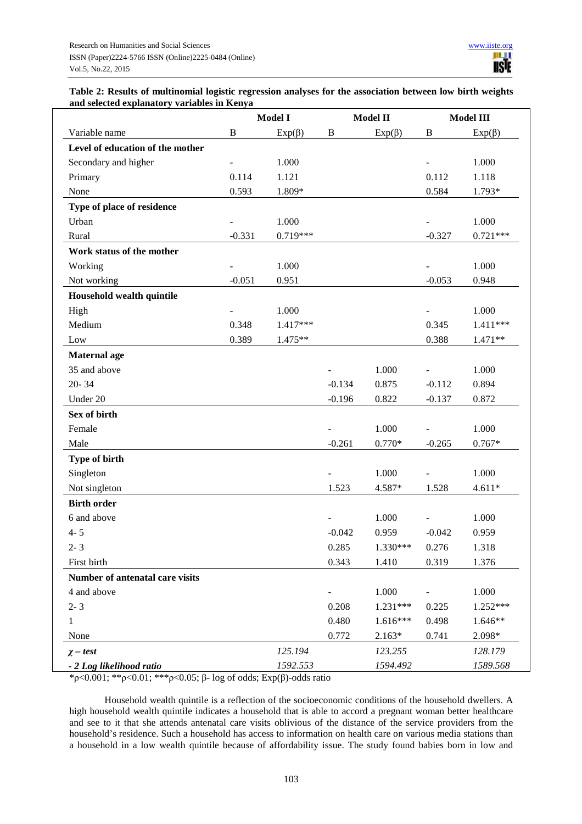| Table 2: Results of multinomial logistic regression analyses for the association between low birth weights |  |  |  |
|------------------------------------------------------------------------------------------------------------|--|--|--|
| and selected explanatory variables in Kenya                                                                |  |  |  |

|                                  | <b>Model I</b> |              | <b>Model II</b> |              | <b>Model III</b> |              |
|----------------------------------|----------------|--------------|-----------------|--------------|------------------|--------------|
| Variable name                    | $\bf{B}$       | $Exp(\beta)$ | B               | $Exp(\beta)$ | B                | $Exp(\beta)$ |
| Level of education of the mother |                |              |                 |              |                  |              |
| Secondary and higher             |                | 1.000        |                 |              | -                | 1.000        |
| Primary                          | 0.114          | 1.121        |                 |              | 0.112            | 1.118        |
| None                             | 0.593          | 1.809*       |                 |              | 0.584            | 1.793*       |
| Type of place of residence       |                |              |                 |              |                  |              |
| Urban                            |                | 1.000        |                 |              |                  | 1.000        |
| Rural                            | $-0.331$       | $0.719***$   |                 |              | $-0.327$         | $0.721***$   |
| Work status of the mother        |                |              |                 |              |                  |              |
| Working                          |                | 1.000        |                 |              |                  | 1.000        |
| Not working                      | $-0.051$       | 0.951        |                 |              | $-0.053$         | 0.948        |
| Household wealth quintile        |                |              |                 |              |                  |              |
| High                             |                | 1.000        |                 |              |                  | 1.000        |
| Medium                           | 0.348          | 1.417***     |                 |              | 0.345            | 1.411 ***    |
| Low                              | 0.389          | 1.475**      |                 |              | 0.388            | 1.471**      |
| <b>Maternal</b> age              |                |              |                 |              |                  |              |
| 35 and above                     |                |              |                 | 1.000        |                  | 1.000        |
| $20 - 34$                        |                |              | $-0.134$        | 0.875        | $-0.112$         | 0.894        |
| Under 20                         |                |              | $-0.196$        | 0.822        | $-0.137$         | 0.872        |
| Sex of birth                     |                |              |                 |              |                  |              |
| Female                           |                |              |                 | 1.000        |                  | 1.000        |
| Male                             |                |              | $-0.261$        | $0.770*$     | $-0.265$         | $0.767*$     |
| Type of birth                    |                |              |                 |              |                  |              |
| Singleton                        |                |              |                 | 1.000        |                  | 1.000        |
| Not singleton                    |                |              | 1.523           | 4.587*       | 1.528            | $4.611*$     |
| <b>Birth order</b>               |                |              |                 |              |                  |              |
| 6 and above                      |                |              |                 | 1.000        |                  | 1.000        |
| $4 - 5$                          |                |              | $-0.042$        | 0.959        | $-0.042$         | 0.959        |
| $2 - 3$                          |                |              | 0.285           | 1.330***     | 0.276            | 1.318        |
| First birth                      |                |              | 0.343           | 1.410        | 0.319            | 1.376        |
| Number of antenatal care visits  |                |              |                 |              |                  |              |
| 4 and above                      |                |              |                 | 1.000        |                  | 1.000        |
| $2 - 3$                          |                |              | 0.208           | 1.231***     | 0.225            | 1.252***     |
| $\mathbf{1}$                     |                |              | 0.480           | $1.616***$   | 0.498            | $1.646**$    |
| None                             |                |              | 0.772           | $2.163*$     | 0.741            | 2.098*       |
| $\chi$ – test                    |                | 125.194      |                 | 123.255      |                  | 128.179      |
| - 2 Log likelihood ratio         |                | 1592.553     |                 | 1594.492     |                  | 1589.568     |

\*ρ<0.001; \*\*ρ<0.01; \*\*\*ρ<0.05; β- log of odds; Exp(β)-odds ratio

 Household wealth quintile is a reflection of the socioeconomic conditions of the household dwellers. A high household wealth quintile indicates a household that is able to accord a pregnant woman better healthcare and see to it that she attends antenatal care visits oblivious of the distance of the service providers from the household's residence. Such a household has access to information on health care on various media stations than a household in a low wealth quintile because of affordability issue. The study found babies born in low and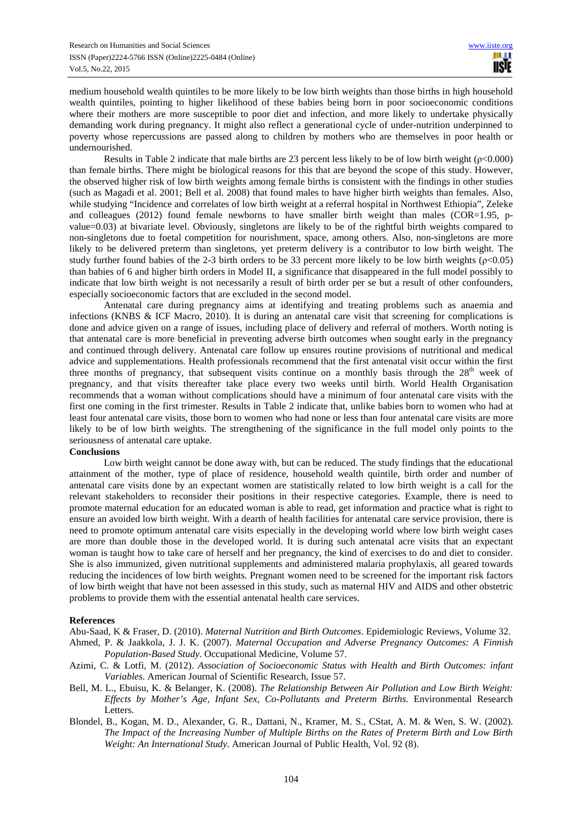medium household wealth quintiles to be more likely to be low birth weights than those births in high household wealth quintiles, pointing to higher likelihood of these babies being born in poor socioeconomic conditions where their mothers are more susceptible to poor diet and infection, and more likely to undertake physically demanding work during pregnancy. It might also reflect a generational cycle of under-nutrition underpinned to poverty whose repercussions are passed along to children by mothers who are themselves in poor health or undernourished.

Results in Table 2 indicate that male births are 23 percent less likely to be of low birth weight  $(\rho < 0.000)$ than female births. There might be biological reasons for this that are beyond the scope of this study. However, the observed higher risk of low birth weights among female births is consistent with the findings in other studies (such as Magadi et al. 2001; Bell et al. 2008) that found males to have higher birth weights than females. Also, while studying "Incidence and correlates of low birth weight at a referral hospital in Northwest Ethiopia", Zeleke and colleagues  $(2012)$  found female newborns to have smaller birth weight than males  $(COR=1.95, p$ value=0.03) at bivariate level. Obviously, singletons are likely to be of the rightful birth weights compared to non-singletons due to foetal competition for nourishment, space, among others. Also, non-singletons are more likely to be delivered preterm than singletons, yet preterm delivery is a contributor to low birth weight. The study further found babies of the 2-3 birth orders to be 33 percent more likely to be low birth weights ( $\rho$ <0.05) than babies of 6 and higher birth orders in Model II, a significance that disappeared in the full model possibly to indicate that low birth weight is not necessarily a result of birth order per se but a result of other confounders, especially socioeconomic factors that are excluded in the second model.

Antenatal care during pregnancy aims at identifying and treating problems such as anaemia and infections (KNBS & ICF Macro, 2010). It is during an antenatal care visit that screening for complications is done and advice given on a range of issues, including place of delivery and referral of mothers. Worth noting is that antenatal care is more beneficial in preventing adverse birth outcomes when sought early in the pregnancy and continued through delivery. Antenatal care follow up ensures routine provisions of nutritional and medical advice and supplementations. Health professionals recommend that the first antenatal visit occur within the first three months of pregnancy, that subsequent visits continue on a monthly basis through the  $28<sup>th</sup>$  week of pregnancy, and that visits thereafter take place every two weeks until birth. World Health Organisation recommends that a woman without complications should have a minimum of four antenatal care visits with the first one coming in the first trimester. Results in Table 2 indicate that, unlike babies born to women who had at least four antenatal care visits, those born to women who had none or less than four antenatal care visits are more likely to be of low birth weights. The strengthening of the significance in the full model only points to the seriousness of antenatal care uptake.

#### **Conclusions**

Low birth weight cannot be done away with, but can be reduced. The study findings that the educational attainment of the mother, type of place of residence, household wealth quintile, birth order and number of antenatal care visits done by an expectant women are statistically related to low birth weight is a call for the relevant stakeholders to reconsider their positions in their respective categories. Example, there is need to promote maternal education for an educated woman is able to read, get information and practice what is right to ensure an avoided low birth weight. With a dearth of health facilities for antenatal care service provision, there is need to promote optimum antenatal care visits especially in the developing world where low birth weight cases are more than double those in the developed world. It is during such antenatal acre visits that an expectant woman is taught how to take care of herself and her pregnancy, the kind of exercises to do and diet to consider. She is also immunized, given nutritional supplements and administered malaria prophylaxis, all geared towards reducing the incidences of low birth weights. Pregnant women need to be screened for the important risk factors of low birth weight that have not been assessed in this study, such as maternal HIV and AIDS and other obstetric problems to provide them with the essential antenatal health care services.

### **References**

Abu-Saad, K & Fraser, D. (2010). *Maternal Nutrition and Birth Outcomes*. Epidemiologic Reviews, Volume 32.

- Ahmed, P. & Jaakkola, J. J. K. (2007). *Maternal Occupation and Adverse Pregnancy Outcomes: A Finnish Population-Based Study*. Occupational Medicine, Volume 57.
- Azimi, C. & Lotfi, M. (2012). *Association of Socioeconomic Status with Health and Birth Outcomes: infant Variables*. American Journal of Scientific Research, Issue 57.
- Bell, M. L., Ebuisu, K. & Belanger, K. (2008). *The Relationship Between Air Pollution and Low Birth Weight: Effects by Mother's Age, Infant Sex, Co-Pollutants and Preterm Births*. Environmental Research Letters.
- Blondel, B., Kogan, M. D., Alexander, G. R., Dattani, N., Kramer, M. S., CStat, A. M. & Wen, S. W. (2002). *The Impact of the Increasing Number of Multiple Births on the Rates of Preterm Birth and Low Birth Weight: An International Study*. American Journal of Public Health, Vol. 92 (8).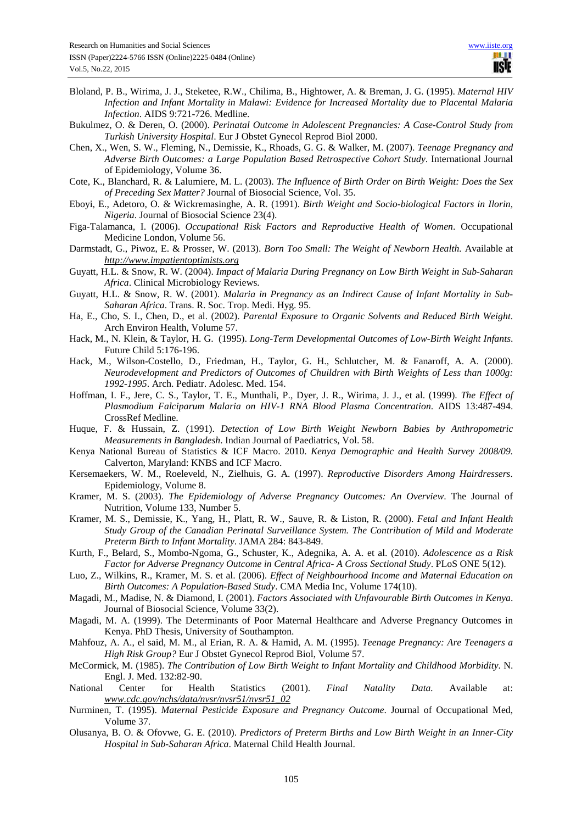- Bloland, P. B., Wirima, J. J., Steketee, R.W., Chilima, B., Hightower, A. & Breman, J. G. (1995). *Maternal HIV Infection and Infant Mortality in Malawi: Evidence for Increased Mortality due to Placental Malaria Infection*. AIDS 9:721-726. Medline.
- Bukulmez, O. & Deren, O. (2000). *Perinatal Outcome in Adolescent Pregnancies: A Case-Control Study from Turkish University Hospital*. Eur J Obstet Gynecol Reprod Biol 2000.
- Chen, X., Wen, S. W., Fleming, N., Demissie, K., Rhoads, G. G. & Walker, M. (2007). *Teenage Pregnancy and Adverse Birth Outcomes: a Large Population Based Retrospective Cohort Study*. International Journal of Epidemiology, Volume 36.
- Cote, K., Blanchard, R. & Lalumiere, M. L. (2003). *The Influence of Birth Order on Birth Weight: Does the Sex of Preceding Sex Matter?* Journal of Biosocial Science, Vol. 35.
- Eboyi, E., Adetoro, O. & Wickremasinghe, A. R. (1991). *Birth Weight and Socio-biological Factors in Ilorin, Nigeria*. Journal of Biosocial Science 23(4).
- Figa-Talamanca, I. (2006). *Occupational Risk Factors and Reproductive Health of Women*. Occupational Medicine London, Volume 56.
- Darmstadt, G., Piwoz, E. & Prosser, W. (2013). *Born Too Small: The Weight of Newborn Health.* Available at *http://www.impatientoptimists.org*
- Guyatt, H.L. & Snow, R. W. (2004). *Impact of Malaria During Pregnancy on Low Birth Weight in Sub-Saharan Africa*. Clinical Microbiology Reviews.
- Guyatt, H.L. & Snow, R. W. (2001). *Malaria in Pregnancy as an Indirect Cause of Infant Mortality in Sub-Saharan Africa*. Trans. R. Soc. Trop. Medi. Hyg. 95.
- Ha, E., Cho, S. I., Chen, D., et al. (2002). *Parental Exposure to Organic Solvents and Reduced Birth Weight*. Arch Environ Health, Volume 57.
- Hack, M., N. Klein, & Taylor, H. G. (1995). *Long-Term Developmental Outcomes of Low-Birth Weight Infants*. Future Child 5:176-196.
- Hack, M., Wilson-Costello, D., Friedman, H., Taylor, G. H., Schlutcher, M. & Fanaroff, A. A. (2000). *Neurodevelopment and Predictors of Outcomes of Chuildren with Birth Weights of Less than 1000g: 1992-1995*. Arch. Pediatr. Adolesc. Med. 154.
- Hoffman, I. F., Jere, C. S., Taylor, T. E., Munthali, P., Dyer, J. R., Wirima, J. J., et al. (1999). *The Effect of Plasmodium Falciparum Malaria on HIV-1 RNA Blood Plasma Concentration*. AIDS 13:487-494. CrossRef Medline.
- Huque, F. & Hussain, Z. (1991). *Detection of Low Birth Weight Newborn Babies by Anthropometric Measurements in Bangladesh*. Indian Journal of Paediatrics, Vol. 58.
- Kenya National Bureau of Statistics & ICF Macro. 2010. *Kenya Demographic and Health Survey 2008/09.* Calverton, Maryland: KNBS and ICF Macro.
- Kersemaekers, W. M., Roeleveld, N., Zielhuis, G. A. (1997). *Reproductive Disorders Among Hairdressers*. Epidemiology, Volume 8.
- Kramer, M. S. (2003). *The Epidemiology of Adverse Pregnancy Outcomes: An Overview*. The Journal of Nutrition, Volume 133, Number 5.
- Kramer, M. S., Demissie, K., Yang, H., Platt, R. W., Sauve, R. & Liston, R. (2000). *Fetal and Infant Health Study Group of the Canadian Perinatal Surveillance System. The Contribution of Mild and Moderate Preterm Birth to Infant Mortality*. JAMA 284: 843-849.
- Kurth, F., Belard, S., Mombo-Ngoma, G., Schuster, K., Adegnika, A. A. et al. (2010). *Adolescence as a Risk Factor for Adverse Pregnancy Outcome in Central Africa- A Cross Sectional Study*. PLoS ONE 5(12).
- Luo, Z., Wilkins, R., Kramer, M. S. et al. (2006). *Effect of Neighbourhood Income and Maternal Education on Birth Outcomes: A Population-Based Study*. CMA Media Inc, Volume 174(10).
- Magadi, M., Madise, N. & Diamond, I. (2001). *Factors Associated with Unfavourable Birth Outcomes in Kenya*. Journal of Biosocial Science, Volume 33(2).
- Magadi, M. A. (1999). The Determinants of Poor Maternal Healthcare and Adverse Pregnancy Outcomes in Kenya. PhD Thesis, University of Southampton.
- Mahfouz, A. A., el said, M. M., al Erian, R. A. & Hamid, A. M. (1995). *Teenage Pregnancy: Are Teenagers a High Risk Group?* Eur J Obstet Gynecol Reprod Biol, Volume 57.
- McCormick, M. (1985). *The Contribution of Low Birth Weight to Infant Mortality and Childhood Morbidity*. N. Engl. J. Med. 132:82-90.
- National Center for Health Statistics (2001). *Final Natality Data.* Available at: *www.cdc.gov/nchs/data/nvsr/nvsr51/nvsr51\_02*
- Nurminen, T. (1995). *Maternal Pesticide Exposure and Pregnancy Outcome*. Journal of Occupational Med, Volume 37.
- Olusanya, B. O. & Ofovwe, G. E. (2010). *Predictors of Preterm Births and Low Birth Weight in an Inner-City Hospital in Sub-Saharan Africa*. Maternal Child Health Journal.